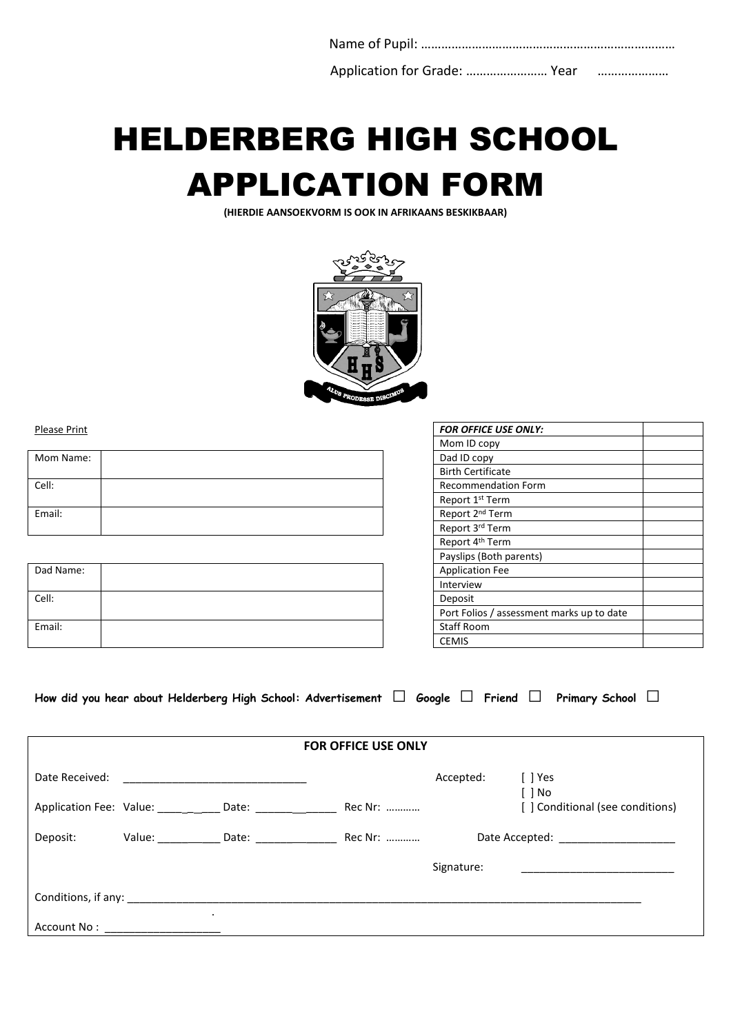Name of Pupil: ………………………………………………………………… Application for Grade: ........................ Year ……..........................

# HELDERBERG HIGH SCHOOL APPLICATION FORM

(HIERDIE AANSOEKVORM IS OOK IN AFRIKAANS BESKIKBAAR)



Please Print

| Mom Name: |  | Dad ID copy                 |
|-----------|--|-----------------------------|
|           |  | <b>Birth Certificate</b>    |
| Cell:     |  | Recommendation Form         |
|           |  | Report 1st Term             |
| Email:    |  | Report 2 <sup>nd</sup> Term |
|           |  | Report 3rd Term             |

| Dad Name: |  | <b>Application Fee</b> |
|-----------|--|------------------------|
|           |  | Interview              |
| Cell:     |  | Deposit                |
|           |  | Port Folios / ass      |
| Email:    |  | Staff Room             |
|           |  | <b>CEMIS</b>           |

| <b>FOR OFFICE USE ONLY:</b>               |  |
|-------------------------------------------|--|
| Mom ID copy                               |  |
| Dad ID copy                               |  |
| <b>Birth Certificate</b>                  |  |
| <b>Recommendation Form</b>                |  |
| Report 1 <sup>st</sup> Term               |  |
| Report 2 <sup>nd</sup> Term               |  |
| Report 3rd Term                           |  |
| Report 4 <sup>th</sup> Term               |  |
| Payslips (Both parents)                   |  |
| <b>Application Fee</b>                    |  |
| Interview                                 |  |
| Deposit                                   |  |
| Port Folios / assessment marks up to date |  |
| <b>Staff Room</b>                         |  |
| <b>CEMIS</b>                              |  |

| How did you hear about Helderberg High School: Advertisement $\Box$ Google $\Box$ Friend $\Box$ Primary School $\Box$ |  |  |
|-----------------------------------------------------------------------------------------------------------------------|--|--|

| <b>FOR OFFICE USE ONLY</b> |                                                                          |                                                   |         |            |                                             |
|----------------------------|--------------------------------------------------------------------------|---------------------------------------------------|---------|------------|---------------------------------------------|
| Date Received:             | <u> 1980 - Jan Barbara, manazarta da kasas da shekara 1980 - An an A</u> |                                                   |         | Accepted:  | $[$ ] Yes                                   |
|                            |                                                                          | Application Fee: Value: _____ __ Date: ______ ___ | Rec Nr: |            | $[ ]$ No<br>[] Conditional (see conditions) |
| Deposit:                   |                                                                          |                                                   | Rec Nr: |            | Date Accepted: __________________           |
|                            |                                                                          |                                                   |         | Signature: |                                             |
|                            | Conditions, if any: _______________                                      |                                                   |         |            |                                             |
| Account No :               | $\bullet$                                                                |                                                   |         |            |                                             |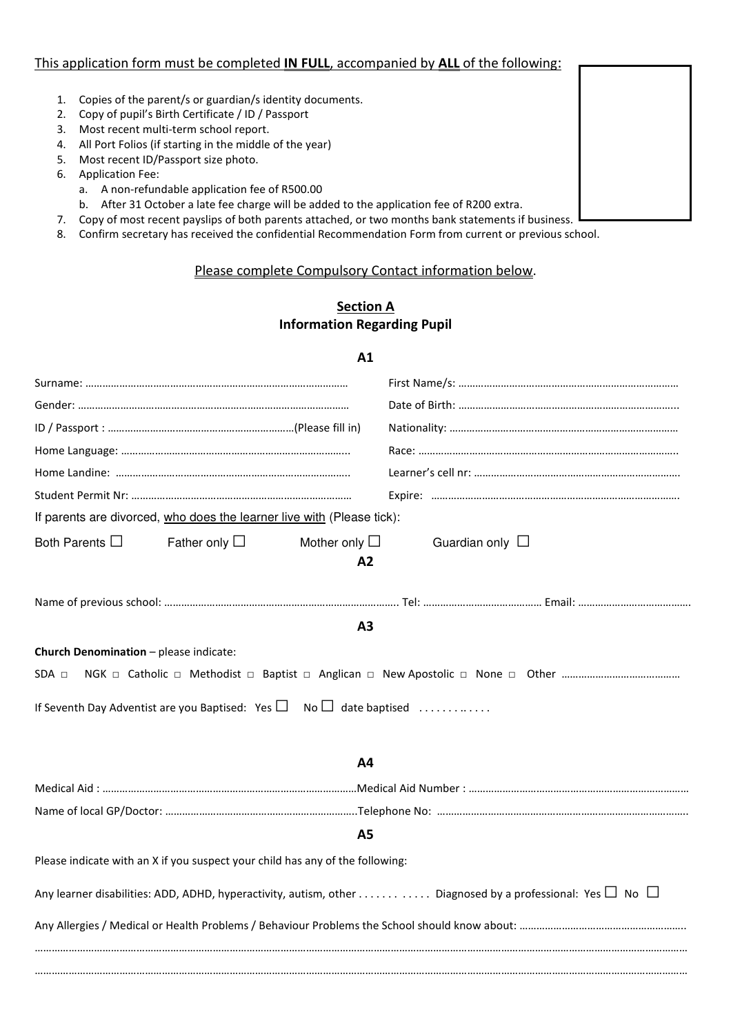#### This application form must be completed IN FULL, accompanied by ALL of the following:

- 1. Copies of the parent/s or guardian/s identity documents.
- 2. Copy of pupil's Birth Certificate / ID / Passport
- 3. Most recent multi-term school report.
- 4. All Port Folios (if starting in the middle of the year)
- 5. Most recent ID/Passport size photo.
- 6. Application Fee:
	- a. A non-refundable application fee of R500.00
	- b. After 31 October a late fee charge will be added to the application fee of R200 extra.
- 7. Copy of most recent payslips of both parents attached, or two months bank statements if business.
- 8. Confirm secretary has received the confidential Recommendation Form from current or previous school.

#### Please complete Compulsory Contact information below.

# Section A Information Regarding Pupil

## A1

| If parents are divorced, who does the learner live with (Please tick):              |                    |                          |                      |                                                                                                                     |
|-------------------------------------------------------------------------------------|--------------------|--------------------------|----------------------|---------------------------------------------------------------------------------------------------------------------|
| Both Parents $\square$                                                              | Father only $\Box$ | Mother only $\Box$<br>A2 | Guardian only $\Box$ |                                                                                                                     |
|                                                                                     |                    |                          |                      |                                                                                                                     |
|                                                                                     |                    | A3                       |                      |                                                                                                                     |
| Church Denomination - please indicate:                                              |                    |                          |                      |                                                                                                                     |
| $SDA \Box$                                                                          |                    |                          |                      |                                                                                                                     |
| If Seventh Day Adventist are you Baptised: Yes $\square$ No $\square$ date baptised |                    |                          |                      |                                                                                                                     |
|                                                                                     |                    | <b>A4</b>                |                      |                                                                                                                     |
|                                                                                     |                    |                          |                      |                                                                                                                     |
|                                                                                     |                    |                          |                      |                                                                                                                     |
|                                                                                     |                    | <b>A5</b>                |                      |                                                                                                                     |
| Please indicate with an X if you suspect your child has any of the following:       |                    |                          |                      |                                                                                                                     |
|                                                                                     |                    |                          |                      | Any learner disabilities: ADD, ADHD, hyperactivity, autism, other Diagnosed by a professional: Yes $\Box$ No $\Box$ |
|                                                                                     |                    |                          |                      |                                                                                                                     |
|                                                                                     |                    |                          |                      |                                                                                                                     |
|                                                                                     |                    |                          |                      |                                                                                                                     |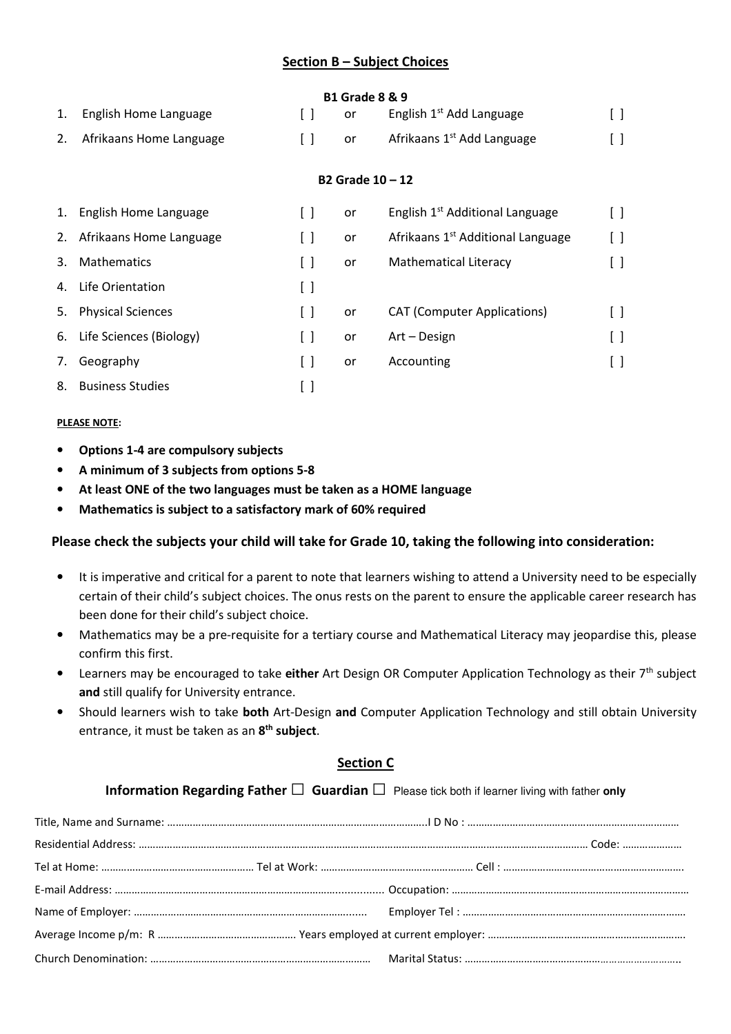# Section B – Subject Choices

#### B1 Grade 8 & 9

| 1. English Home Language   | or | English 1 <sup>st</sup> Add Language   | $\Box$ |
|----------------------------|----|----------------------------------------|--------|
| 2. Afrikaans Home Language | or | Afrikaans 1 <sup>st</sup> Add Language | $\Box$ |

#### B2 Grade 10 – 12

|    | 1. English Home Language   | or | English 1 <sup>st</sup> Additional Language   |  |
|----|----------------------------|----|-----------------------------------------------|--|
| 2. | Afrikaans Home Language    | or | Afrikaans 1 <sup>st</sup> Additional Language |  |
| 3. | <b>Mathematics</b>         | or | <b>Mathematical Literacy</b>                  |  |
| 4. | Life Orientation           |    |                                               |  |
| 5. | <b>Physical Sciences</b>   | or | <b>CAT (Computer Applications)</b>            |  |
|    | 6. Life Sciences (Biology) | or | Art – Design                                  |  |
| 7. | Geography                  | or | Accounting                                    |  |
| 8. | <b>Business Studies</b>    |    |                                               |  |

#### PLEASE NOTE:

- Options 1-4 are compulsory subjects
- A minimum of 3 subjects from options 5-8
- At least ONE of the two languages must be taken as a HOME language
- Mathematics is subject to a satisfactory mark of 60% required

## Please check the subjects your child will take for Grade 10, taking the following into consideration:

- It is imperative and critical for a parent to note that learners wishing to attend a University need to be especially certain of their child's subject choices. The onus rests on the parent to ensure the applicable career research has been done for their child's subject choice.
- Mathematics may be a pre-requisite for a tertiary course and Mathematical Literacy may jeopardise this, please confirm this first.
- Learners may be encouraged to take either Art Design OR Computer Application Technology as their 7<sup>th</sup> subject and still qualify for University entrance.
- Should learners wish to take both Art-Design and Computer Application Technology and still obtain University entrance, it must be taken as an 8<sup>th</sup> subject.

## Section C

Information Regarding Father □ Guardian □ Please tick both if learner living with father **only**